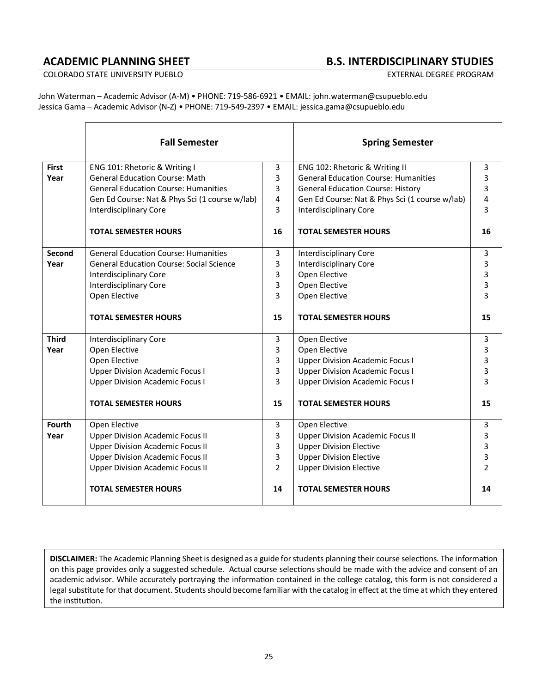# **ACADEMIC PLANNING SHEET B.S. INTERDISCIPLINARY STUDIES**

COLORADO STATE UNIVERSITY PUEBLO **EXTERNAL DEGREE PROGRAM** 

John Waterman – Academic Advisor (A-M) • PHONE: 719-586-6921 • EMAIL: john.waterman@csupueblo.edu Jessica Gama – Academic Advisor (N-Z) • PHONE: 719-549-2397 • EMAIL: jessica.gama@csupueblo.edu

|              | <b>Fall Semester</b>                            |                | <b>Spring Semester</b>                         |                |
|--------------|-------------------------------------------------|----------------|------------------------------------------------|----------------|
| <b>First</b> | ENG 101: Rhetoric & Writing I                   | 3              | ENG 102: Rhetoric & Writing II                 | 3              |
| Year         | <b>General Education Course: Math</b>           | 3              | <b>General Education Course: Humanities</b>    | 3              |
|              | <b>General Education Course: Humanities</b>     | 3              | <b>General Education Course: History</b>       | 3              |
|              | Gen Ed Course: Nat & Phys Sci (1 course w/lab)  | 4              | Gen Ed Course: Nat & Phys Sci (1 course w/lab) | 4              |
|              | <b>Interdisciplinary Core</b>                   | 3              | <b>Interdisciplinary Core</b>                  | 3              |
|              | <b>TOTAL SEMESTER HOURS</b>                     | 16             | <b>TOTAL SEMESTER HOURS</b>                    | 16             |
| Second       | <b>General Education Course: Humanities</b>     | 3              | <b>Interdisciplinary Core</b>                  | 3              |
| Year         | <b>General Education Course: Social Science</b> | 3              | <b>Interdisciplinary Core</b>                  | 3              |
|              | <b>Interdisciplinary Core</b>                   | 3              | Open Elective                                  | 3              |
|              | <b>Interdisciplinary Core</b>                   | 3              | Open Elective                                  | 3              |
|              | Open Elective                                   | 3              | Open Elective                                  | 3              |
|              | <b>TOTAL SEMESTER HOURS</b>                     | 15             | <b>TOTAL SEMESTER HOURS</b>                    | 15             |
| <b>Third</b> | <b>Interdisciplinary Core</b>                   | 3              | Open Elective                                  | 3              |
| Year         | Open Elective                                   | 3              | Open Elective                                  | 3              |
|              | Open Elective                                   | 3              | <b>Upper Division Academic Focus I</b>         | 3              |
|              | <b>Upper Division Academic Focus I</b>          | 3              | <b>Upper Division Academic Focus I</b>         | 3              |
|              | <b>Upper Division Academic Focus I</b>          | 3              | <b>Upper Division Academic Focus I</b>         | 3              |
|              | <b>TOTAL SEMESTER HOURS</b>                     | 15             | <b>TOTAL SEMESTER HOURS</b>                    | 15             |
| Fourth       | Open Elective                                   | 3              | Open Elective                                  | 3              |
| Year         | <b>Upper Division Academic Focus II</b>         | 3              | <b>Upper Division Academic Focus II</b>        | 3              |
|              | <b>Upper Division Academic Focus II</b>         | 3              | <b>Upper Division Elective</b>                 | 3              |
|              | <b>Upper Division Academic Focus II</b>         | 3              | <b>Upper Division Elective</b>                 | 3              |
|              | <b>Upper Division Academic Focus II</b>         | $\overline{2}$ | <b>Upper Division Elective</b>                 | $\overline{2}$ |
|              | <b>TOTAL SEMESTER HOURS</b>                     | 14             | <b>TOTAL SEMESTER HOURS</b>                    | 14             |

**DISCLAIMER:** The Academic Planning Sheet is designed as a guide for students planning their course selections. The information on this page provides only a suggested schedule. Actual course selections should be made with the advice and consent of an academic advisor. While accurately portraying the information contained in the college catalog, this form is not considered a legal substitute for that document. Students should become familiar with the catalog in effect at the time at which they entered the institution.